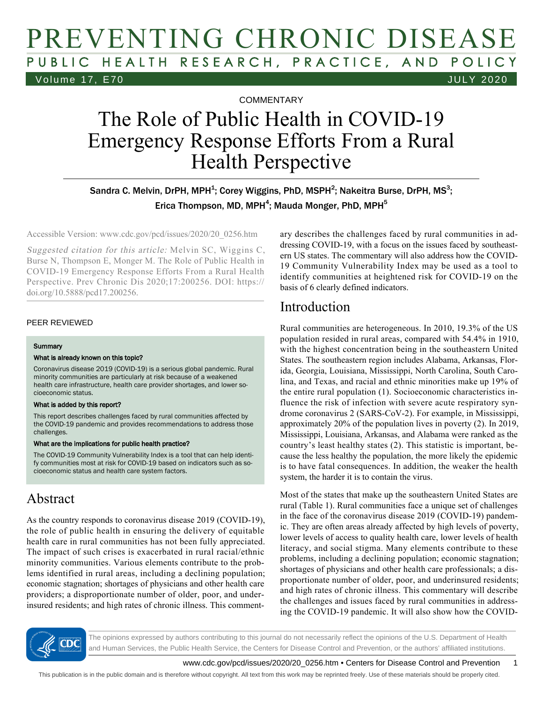## PREVENTING CHRONIC DISEASE PUBLIC HEALTH RESEARCH, PRACTICE, AND POLICY Volume 17, E70 JULY 2020

**COMMENTARY** 

# The Role of Public Health in COVID-19 Emergency Response Efforts From a Rural Health Perspective

Sandra C. Melvin, DrPH, MPH<sup>1</sup>; Corey Wiggins, PhD, MSPH<sup>2</sup>; Nakeitra Burse, DrPH, MS<sup>3</sup>; Erica Thompson, MD, MPH<sup>4</sup>; Mauda Monger, PhD, MPH<sup>5</sup>

Accessible Version: www.cdc.gov/pcd/issues/2020/20\_0256.htm

Suggested citation for this article: Melvin SC, Wiggins C, Burse N, Thompson E, Monger M. The Role of Public Health in COVID-19 Emergency Response Efforts From a Rural Health Perspective. Prev Chronic Dis 2020;17:200256. DOI: https:// doi.org/10.5888/pcd17.200256.

#### PEER REVIEWED

#### **Summary**

#### What is already known on this topic?

Coronavirus disease 2019 (COVID-19) is a serious global pandemic. Rural minority communities are particularly at risk because of a weakened health care infrastructure, health care provider shortages, and lower socioeconomic status.

#### What is added by this report?

This report describes challenges faced by rural communities affected by the COVID-19 pandemic and provides recommendations to address those challenges.

#### What are the implications for public health practice?

The COVID-19 Community Vulnerability Index is a tool that can help identify communities most at risk for COVID-19 based on indicators such as socioeconomic status and health care system factors.

#### Abstract

As the country responds to coronavirus disease 2019 (COVID-19), the role of public health in ensuring the delivery of equitable health care in rural communities has not been fully appreciated. The impact of such crises is exacerbated in rural racial/ethnic minority communities. Various elements contribute to the problems identified in rural areas, including a declining population; economic stagnation; shortages of physicians and other health care providers; a disproportionate number of older, poor, and underinsured residents; and high rates of chronic illness. This commentary describes the challenges faced by rural communities in addressing COVID-19, with a focus on the issues faced by southeastern US states. The commentary will also address how the COVID-19 Community Vulnerability Index may be used as a tool to identify communities at heightened risk for COVID-19 on the basis of 6 clearly defined indicators.

#### Introduction

Rural communities are heterogeneous. In 2010, 19.3% of the US population resided in rural areas, compared with 54.4% in 1910, with the highest concentration being in the southeastern United States. The southeastern region includes Alabama, Arkansas, Florida, Georgia, Louisiana, Mississippi, North Carolina, South Carolina, and Texas, and racial and ethnic minorities make up 19% of the entire rural population (1). Socioeconomic characteristics influence the risk of infection with severe acute respiratory syndrome coronavirus 2 (SARS-CoV-2). For example, in Mississippi, approximately 20% of the population lives in poverty (2). In 2019, Mississippi, Louisiana, Arkansas, and Alabama were ranked as the country's least healthy states (2). This statistic is important, because the less healthy the population, the more likely the epidemic is to have fatal consequences. In addition, the weaker the health system, the harder it is to contain the virus.

Most of the states that make up the southeastern United States are rural (Table 1). Rural communities face a unique set of challenges in the face of the coronavirus disease 2019 (COVID-19) pandemic. They are often areas already affected by high levels of poverty, lower levels of access to quality health care, lower levels of health literacy, and social stigma. Many elements contribute to these problems, including a declining population; economic stagnation; shortages of physicians and other health care professionals; a disproportionate number of older, poor, and underinsured residents; and high rates of chronic illness. This commentary will describe the challenges and issues faced by rural communities in addressing the COVID-19 pandemic. It will also show how the COVID-



The opinions expressed by authors contributing to this journal do not necessarily reflect the opinions of the U.S. Department of Health and Human Services, the Public Health Service, the Centers for Disease Control and Prevention, or the authors' affiliated institutions.

www.cdc.gov/pcd/issues/2020/20\_0256.htm • Centers for Disease Control and Prevention 1

This publication is in the public domain and is therefore without copyright. All text from this work may be reprinted freely. Use of these materials should be properly cited.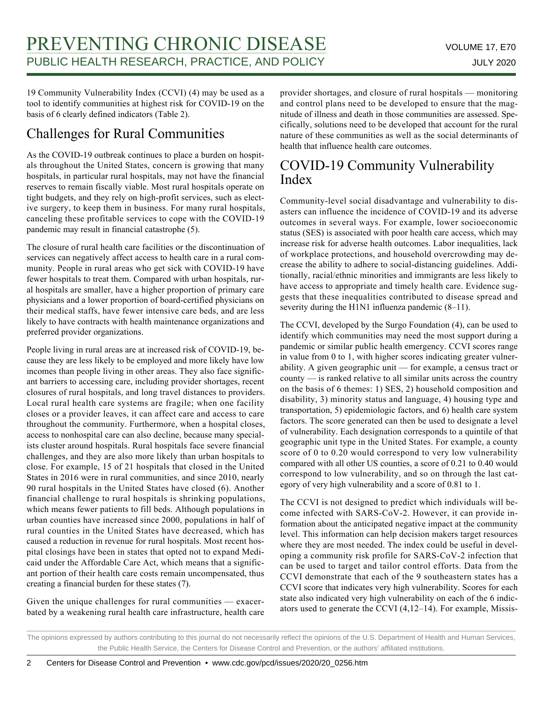19 Community Vulnerability Index (CCVI) (4) may be used as a tool to identify communities at highest risk for COVID-19 on the basis of 6 clearly defined indicators (Table 2).

### Challenges for Rural Communities

As the COVID-19 outbreak continues to place a burden on hospitals throughout the United States, concern is growing that many hospitals, in particular rural hospitals, may not have the financial reserves to remain fiscally viable. Most rural hospitals operate on tight budgets, and they rely on high-profit services, such as elective surgery, to keep them in business. For many rural hospitals, canceling these profitable services to cope with the COVID-19 pandemic may result in financial catastrophe (5).

The closure of rural health care facilities or the discontinuation of services can negatively affect access to health care in a rural community. People in rural areas who get sick with COVID-19 have fewer hospitals to treat them. Compared with urban hospitals, rural hospitals are smaller, have a higher proportion of primary care physicians and a lower proportion of board-certified physicians on their medical staffs, have fewer intensive care beds, and are less likely to have contracts with health maintenance organizations and preferred provider organizations.

People living in rural areas are at increased risk of COVID-19, because they are less likely to be employed and more likely have low incomes than people living in other areas. They also face significant barriers to accessing care, including provider shortages, recent closures of rural hospitals, and long travel distances to providers. Local rural health care systems are fragile; when one facility closes or a provider leaves, it can affect care and access to care throughout the community. Furthermore, when a hospital closes, access to nonhospital care can also decline, because many specialists cluster around hospitals. Rural hospitals face severe financial challenges, and they are also more likely than urban hospitals to close. For example, 15 of 21 hospitals that closed in the United States in 2016 were in rural communities, and since 2010, nearly 90 rural hospitals in the United States have closed (6). Another financial challenge to rural hospitals is shrinking populations, which means fewer patients to fill beds. Although populations in urban counties have increased since 2000, populations in half of rural counties in the United States have decreased, which has caused a reduction in revenue for rural hospitals. Most recent hospital closings have been in states that opted not to expand Medicaid under the Affordable Care Act, which means that a significant portion of their health care costs remain uncompensated, thus creating a financial burden for these states (7).

Given the unique challenges for rural communities — exacerbated by a weakening rural health care infrastructure, health care provider shortages, and closure of rural hospitals — monitoring and control plans need to be developed to ensure that the magnitude of illness and death in those communities are assessed. Specifically, solutions need to be developed that account for the rural nature of these communities as well as the social determinants of health that influence health care outcomes.

### COVID-19 Community Vulnerability Index

Community-level social disadvantage and vulnerability to disasters can influence the incidence of COVID-19 and its adverse outcomes in several ways. For example, lower socioeconomic status (SES) is associated with poor health care access, which may increase risk for adverse health outcomes. Labor inequalities, lack of workplace protections, and household overcrowding may decrease the ability to adhere to social-distancing guidelines. Additionally, racial/ethnic minorities and immigrants are less likely to have access to appropriate and timely health care. Evidence suggests that these inequalities contributed to disease spread and severity during the H1N1 influenza pandemic (8–11).

The CCVI, developed by the Surgo Foundation (4), can be used to identify which communities may need the most support during a pandemic or similar public health emergency. CCVI scores range in value from 0 to 1, with higher scores indicating greater vulnerability. A given geographic unit — for example, a census tract or county — is ranked relative to all similar units across the country on the basis of 6 themes: 1) SES, 2) household composition and disability, 3) minority status and language, 4) housing type and transportation, 5) epidemiologic factors, and 6) health care system factors. The score generated can then be used to designate a level of vulnerability. Each designation corresponds to a quintile of that geographic unit type in the United States. For example, a county score of 0 to 0.20 would correspond to very low vulnerability compared with all other US counties, a score of 0.21 to 0.40 would correspond to low vulnerability, and so on through the last category of very high vulnerability and a score of 0.81 to 1.

The CCVI is not designed to predict which individuals will become infected with SARS-CoV-2. However, it can provide information about the anticipated negative impact at the community level. This information can help decision makers target resources where they are most needed. The index could be useful in developing a community risk profile for SARS-CoV-2 infection that can be used to target and tailor control efforts. Data from the CCVI demonstrate that each of the 9 southeastern states has a CCVI score that indicates very high vulnerability. Scores for each state also indicated very high vulnerability on each of the 6 indicators used to generate the CCVI (4,12–14). For example, Missis-

The opinions expressed by authors contributing to this journal do not necessarily reflect the opinions of the U.S. Department of Health and Human Services, the Public Health Service, the Centers for Disease Control and Prevention, or the authors' affiliated institutions.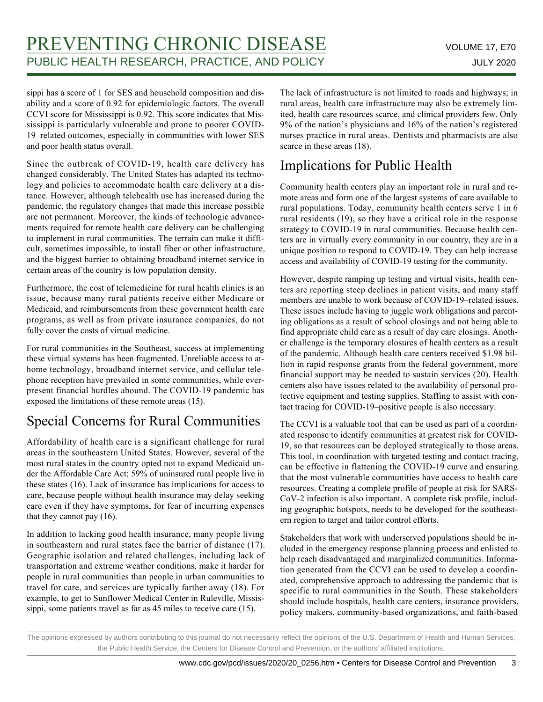sippi has a score of 1 for SES and household composition and disability and a score of 0.92 for epidemiologic factors. The overall CCVI score for Mississippi is 0.92. This score indicates that Mississippi is particularly vulnerable and prone to poorer COVID-19–related outcomes, especially in communities with lower SES and poor health status overall.

Since the outbreak of COVID-19, health care delivery has changed considerably. The United States has adapted its technology and policies to accommodate health care delivery at a distance. However, although telehealth use has increased during the pandemic, the regulatory changes that made this increase possible are not permanent. Moreover, the kinds of technologic advancements required for remote health care delivery can be challenging to implement in rural communities. The terrain can make it difficult, sometimes impossible, to install fiber or other infrastructure, and the biggest barrier to obtaining broadband internet service in certain areas of the country is low population density.

Furthermore, the cost of telemedicine for rural health clinics is an issue, because many rural patients receive either Medicare or Medicaid, and reimbursements from these government health care programs, as well as from private insurance companies, do not fully cover the costs of virtual medicine.

For rural communities in the Southeast, success at implementing these virtual systems has been fragmented. Unreliable access to athome technology, broadband internet service, and cellular telephone reception have prevailed in some communities, while everpresent financial hurdles abound. The COVID-19 pandemic has exposed the limitations of these remote areas (15).

### Special Concerns for Rural Communities

Affordability of health care is a significant challenge for rural areas in the southeastern United States. However, several of the most rural states in the country opted not to expand Medicaid under the Affordable Care Act; 59% of uninsured rural people live in these states (16). Lack of insurance has implications for access to care, because people without health insurance may delay seeking care even if they have symptoms, for fear of incurring expenses that they cannot pay (16).

In addition to lacking good health insurance, many people living in southeastern and rural states face the barrier of distance (17). Geographic isolation and related challenges, including lack of transportation and extreme weather conditions, make it harder for people in rural communities than people in urban communities to travel for care, and services are typically farther away (18). For example, to get to Sunflower Medical Center in Ruleville, Mississippi, some patients travel as far as 45 miles to receive care (15).

The lack of infrastructure is not limited to roads and highways; in rural areas, health care infrastructure may also be extremely limited, health care resources scarce, and clinical providers few. Only 9% of the nation's physicians and 16% of the nation's registered nurses practice in rural areas. Dentists and pharmacists are also scarce in these areas (18).

### Implications for Public Health

Community health centers play an important role in rural and remote areas and form one of the largest systems of care available to rural populations. Today, community health centers serve 1 in 6 rural residents (19), so they have a critical role in the response strategy to COVID-19 in rural communities. Because health centers are in virtually every community in our country, they are in a unique position to respond to COVID-19. They can help increase access and availability of COVID-19 testing for the community.

However, despite ramping up testing and virtual visits, health centers are reporting steep declines in patient visits, and many staff members are unable to work because of COVID-19–related issues. These issues include having to juggle work obligations and parenting obligations as a result of school closings and not being able to find appropriate child care as a result of day care closings. Another challenge is the temporary closures of health centers as a result of the pandemic. Although health care centers received \$1.98 billion in rapid response grants from the federal government, more financial support may be needed to sustain services (20). Health centers also have issues related to the availability of personal protective equipment and testing supplies. Staffing to assist with contact tracing for COVID-19–positive people is also necessary.

The CCVI is a valuable tool that can be used as part of a coordinated response to identify communities at greatest risk for COVID-19, so that resources can be deployed strategically to those areas. This tool, in coordination with targeted testing and contact tracing, can be effective in flattening the COVID-19 curve and ensuring that the most vulnerable communities have access to health care resources. Creating a complete profile of people at risk for SARS-CoV-2 infection is also important. A complete risk profile, including geographic hotspots, needs to be developed for the southeastern region to target and tailor control efforts.

Stakeholders that work with underserved populations should be included in the emergency response planning process and enlisted to help reach disadvantaged and marginalized communities. Information generated from the CCVI can be used to develop a coordinated, comprehensive approach to addressing the pandemic that is specific to rural communities in the South. These stakeholders should include hospitals, health care centers, insurance providers, policy makers, community-based organizations, and faith-based

The opinions expressed by authors contributing to this journal do not necessarily reflect the opinions of the U.S. Department of Health and Human Services, the Public Health Service, the Centers for Disease Control and Prevention, or the authors' affiliated institutions.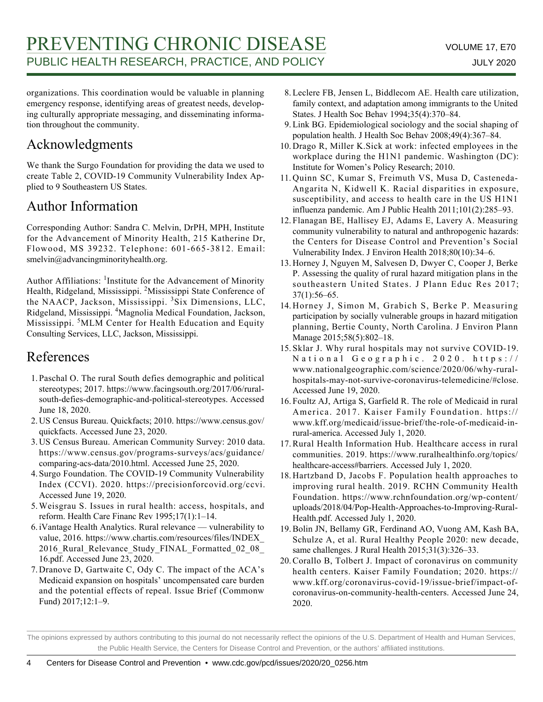organizations. This coordination would be valuable in planning emergency response, identifying areas of greatest needs, developing culturally appropriate messaging, and disseminating information throughout the community.

### Acknowledgments

We thank the Surgo Foundation for providing the data we used to create Table 2, COVID-19 Community Vulnerability Index Applied to 9 Southeastern US States.

### Author Information

Corresponding Author: Sandra C. Melvin, DrPH, MPH, Institute for the Advancement of Minority Health, 215 Katherine Dr, Flowood, MS 39232. Telephone: 601-665-3812. Email: smelvin@advancingminorityhealth.org.

Author Affiliations: <sup>1</sup>Institute for the Advancement of Minority Health, Ridgeland, Mississippi. <sup>2</sup>Mississippi State Conference of the NAACP, Jackson, Mississippi. <sup>3</sup>Six Dimensions, LLC, Ridgeland, Mississippi. <sup>4</sup>Magnolia Medical Foundation, Jackson, Mississippi. <sup>5</sup>MLM Center for Health Education and Equity Consulting Services, LLC, Jackson, Mississippi.

#### References

- 1. Paschal O. The rural South defies demographic and political stereotypes; 2017. https://www.facingsouth.org/2017/06/ruralsouth-defies-demographic-and-political-stereotypes. Accessed June 18, 2020.
- 2. US Census Bureau. Quickfacts; 2010. https://www.census.gov/ quickfacts. Accessed June 23, 2020.
- 3. US Census Bureau. American Community Survey: 2010 data. https://www.census.gov/programs-surveys/acs/guidance/ comparing-acs-data/2010.html. Accessed June 25, 2020.
- 4. Surgo Foundation. The COVID-19 Community Vulnerability Index (CCVI). 2020. https://precisionforcovid.org/ccvi. Accessed June 19, 2020.
- Weisgrau S. Issues in rural health: access, hospitals, and 5. reform. Health Care Financ Rev 1995;17(1):1–14.
- 6. iVantage Health Analytics. Rural relevance vulnerability to value, 2016. https://www.chartis.com/resources/files/INDEX\_ 2016 Rural Relevance Study FINAL Formatted 02 08 16.pdf. Accessed June 23, 2020.
- 7. Dranove D, Gartwaite C, Ody C. The impact of the ACA's Medicaid expansion on hospitals' uncompensated care burden and the potential effects of repeal. Issue Brief (Commonw Fund) 2017;12:1–9.
- 8. Leclere FB, Jensen L, Biddlecom AE. Health care utilization, family context, and adaptation among immigrants to the United States. J Health Soc Behav 1994;35(4):370–84.
- 9. Link BG. Epidemiological sociology and the social shaping of population health. J Health Soc Behav 2008;49(4):367–84.
- 10. Drago R, Miller K. Sick at work: infected employees in the workplace during the H1N1 pandemic. Washington (DC): Institute for Women's Policy Research; 2010.
- 11. Quinn SC, Kumar S, Freimuth VS, Musa D, Casteneda-Angarita N, Kidwell K. Racial disparities in exposure, susceptibility, and access to health care in the US H1N1 influenza pandemic. Am J Public Health 2011;101(2):285–93.
- 12. Flanagan BE, Hallisey EJ, Adams E, Lavery A. Measuring community vulnerability to natural and anthropogenic hazards: the Centers for Disease Control and Prevention's Social Vulnerability Index. J Environ Health 2018;80(10):34–6.
- 13. Horney J, Nguyen M, Salvesen D, Dwyer C, Cooper J, Berke P. Assessing the quality of rural hazard mitigation plans in the southeastern United States. J Plann Educ Res 2017; 37(1):56–65.
- 14. Horney J, Simon M, Grabich S, Berke P. Measuring participation by socially vulnerable groups in hazard mitigation planning, Bertie County, North Carolina. J Environ Plann Manage 2015;58(5):802–18.
- 15. Sklar J. Why rural hospitals may not survive COVID-19. National Geographic. 2020. https:// www.nationalgeographic.com/science/2020/06/why-ruralhospitals-may-not-survive-coronavirus-telemedicine/#close. Accessed June 19, 2020.
- 16. Foultz AJ, Artiga S, Garfield R. The role of Medicaid in rural America. 2017. Kaiser Family Foundation. https:// www.kff.org/medicaid/issue-brief/the-role-of-medicaid-inrural-america. Accessed July 1, 2020.
- 17. Rural Health Information Hub. Healthcare access in rural communities. 2019. https://www.ruralhealthinfo.org/topics/ healthcare-access#barriers. Accessed July 1, 2020.
- 18. Hartzband D, Jacobs F. Population health approaches to improving rural health. 2019. RCHN Community Health Foundation. https://www.rchnfoundation.org/wp-content/ uploads/2018/04/Pop-Health-Approaches-to-Improving-Rural-Health.pdf. Accessed July 1, 2020.
- 19. Bolin JN, Bellamy GR, Ferdinand AO, Vuong AM, Kash BA, Schulze A, et al. Rural Healthy People 2020: new decade, same challenges. J Rural Health 2015;31(3):326-33.
- 20. Corallo B, Tolbert J. Impact of coronavirus on community health centers. Kaiser Family Foundation; 2020. https:// www.kff.org/coronavirus-covid-19/issue-brief/impact-ofcoronavirus-on-community-health-centers. Accessed June 24, 2020.

The opinions expressed by authors contributing to this journal do not necessarily reflect the opinions of the U.S. Department of Health and Human Services, the Public Health Service, the Centers for Disease Control and Prevention, or the authors' affiliated institutions.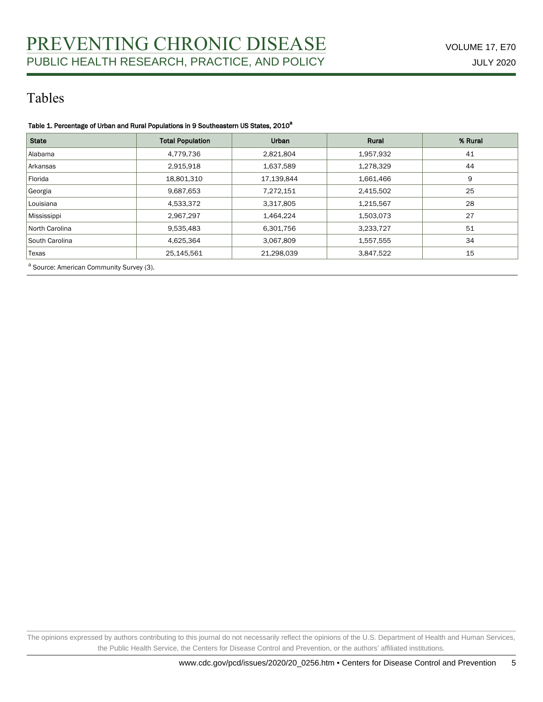### Tables

#### Table 1. Percentage of Urban and Rural Populations in 9 Southeastern US States, 2010<sup>a</sup>

| <b>State</b>   | <b>Total Population</b> | Urban      | Rural     | % Rural |  |
|----------------|-------------------------|------------|-----------|---------|--|
| Alabama        | 4,779,736               | 2,821,804  | 1,957,932 | 41      |  |
| Arkansas       | 2,915,918               | 1,637,589  | 1,278,329 | 44      |  |
| Florida        | 18,801,310              | 17,139,844 | 1,661,466 | 9       |  |
| Georgia        | 9,687,653               | 7,272,151  | 2,415,502 | 25      |  |
| Louisiana      | 4,533,372               | 3,317,805  | 1,215,567 | 28      |  |
| Mississippi    | 2,967,297               | 1,464,224  | 1,503,073 | 27      |  |
| North Carolina | 9,535,483               | 6,301,756  | 3,233,727 | 51      |  |
| South Carolina | 4,625,364               | 3,067,809  | 1,557,555 | 34      |  |
| Texas          | 25,145,561              | 21,298,039 | 3,847,522 | 15      |  |

a<br>Source: American Community Survey (3).

The opinions expressed by authors contributing to this journal do not necessarily reflect the opinions of the U.S. Department of Health and Human Services, the Public Health Service, the Centers for Disease Control and Prevention, or the authors' affiliated institutions.